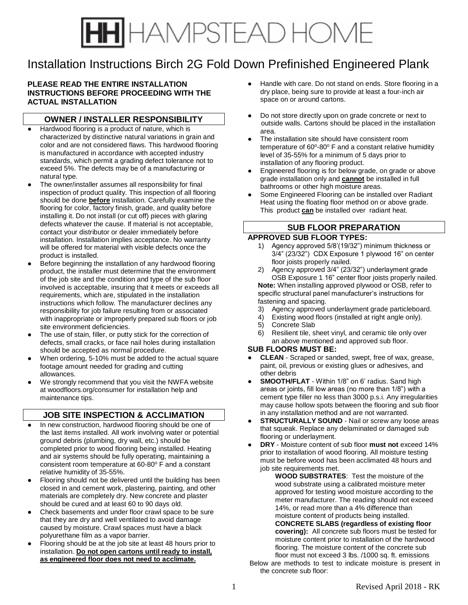# HAMPSTEAD HOME

# Installation Instructions Birch 2G Fold Down Prefinished Engineered Plank

### **PLEASE READ THE ENTIRE INSTALLATION INSTRUCTIONS BEFORE PROCEEDING WITH THE ACTUAL INSTALLATION**

## **OWNER / INSTALLER RESPONSIBILITY**

- Hardwood flooring is a product of nature, which is characterized by distinctive natural variations in grain and color and are not considered flaws. This hardwood flooring is manufactured in accordance with accepted industry standards, which permit a grading defect tolerance not to exceed 5%. The defects may be of a manufacturing or natural type.
- The owner/installer assumes all responsibility for final inspection of product quality. This inspection of all flooring should be done **before** installation. Carefully examine the flooring for color, factory finish, grade, and quality before installing it. Do not install (or cut off) pieces with glaring defects whatever the cause. If material is not acceptable, contact your distributor or dealer immediately before installation. Installation implies acceptance. No warranty will be offered for material with visible defects once the product is installed.
- Before beginning the installation of any hardwood flooring product, the installer must determine that the environment of the job site and the condition and type of the sub floor involved is acceptable, insuring that it meets or exceeds all requirements, which are, stipulated in the installation instructions which follow. The manufacturer declines any responsibility for job failure resulting from or associated with inappropriate or improperly prepared sub floors or job site environment deficiencies.
- The use of stain, filler, or putty stick for the correction of defects, small cracks, or face nail holes during installation should be accepted as normal procedure.
- When ordering, 5-10% must be added to the actual square footage amount needed for grading and cutting allowances.
- We strongly recommend that you visit the NWFA website at woodfloors.org/consumer for installation help and maintenance tips.

## **JOB SITE INSPECTION & ACCLIMATION**

- In new construction, hardwood flooring should be one of the last items installed. All work involving water or potential ground debris (plumbing, dry wall, etc.) should be completed prior to wood flooring being installed. Heating and air systems should be fully operating, maintaining a consistent room temperature at  $60-80^\circ$  F and a constant relative humidity of 35-55%.
- Flooring should not be delivered until the building has been closed in and cement work, plastering, painting, and other materials are completely dry. New concrete and plaster should be cured and at least 60 to 90 days old.
- Check basements and under floor crawl space to be sure that they are dry and well ventilated to avoid damage caused by moisture. Crawl spaces must have a black polyurethane film as a vapor barrier.
- *●* Flooring should be at the job site at least 48 hours prior to installation. **Do not open cartons until ready to install, as engineered floor does not need to acclimate.**
- Handle with care. Do not stand on ends. Store flooring in a dry place, being sure to provide at least a four-inch air space on or around cartons.
- Do not store directly upon on grade concrete or next to outside walls. Cartons should be placed in the installation area.
- The installation site should have consistent room temperature of 60°-80° F and a constant relative humidity level of 35-55% for a minimum of 5 days prior to installation of any flooring product.
- Engineered flooring is for below grade, on grade or above grade installation only and **cannot** be installed in full bathrooms or other high moisture areas.
- Some Engineered Flooring can be installed over Radiant Heat using the floating floor method on or above grade. This product **can** be installed over radiant heat.

## **SUB FLOOR PREPARATION APPROVED SUB FLOOR TYPES:**

- Agency approved 5/8'(19/32") minimum thickness or 3/4" (23/32") CDX Exposure 1 plywood 16" on center floor joists properly nailed.
- 2) Agency approved 3/4" (23/32") underlayment grade OSB Exposure 1 16" center floor joists properly nailed.

**Note:** When installing approved plywood or OSB, refer to specific structural panel manufacturer's instructions for fastening and spacing.

- 3) Agency approved underlayment grade particleboard.
- 4) Existing wood floors (installed at right angle only).<br>5) Concrete Slab
- Concrete Slab
- 6) Resilient tile, sheet vinyl, and ceramic tile only over an above mentioned and approved sub floor.

### **SUB FLOORS MUST BE:**

- **● CLEAN** Scraped or sanded, swept, free of wax, grease, paint, oil, previous or existing glues or adhesives, and other debris
- **SMOOTH/FLAT** Within 1/8" on 6' radius. Sand high areas or joints, fill low areas (no more than 1/8") with a cement type filler no less than 3000 p.s.i. Any irregularities may cause hollow spots between the flooring and sub floor in any installation method and are not warranted.
- **STRUCTURALLY SOUND** Nail or screw any loose areas that squeak. Replace any delaminated or damaged sub flooring or underlayment.
- **● DRY** Moisture content of sub floor **must not** exceed 14% prior to installation of wood flooring. All moisture testing must be before wood has been acclimated 48 hours and job site requirements met.

**WOOD SUBSTRATES**: Test the moisture of the wood substrate using a calibrated moisture meter approved for testing wood moisture according to the meter manufacturer. The reading should not exceed 14%, or read more than a 4% difference than moisture content of products being installed. **CONCRETE SLABS (regardless of existing floor covering):** All concrete sub floors must be tested for moisture content prior to installation of the hardwood flooring. The moisture content of the concrete sub floor must not exceed 3 lbs. /1000 sq. ft. emissions

Below are methods to test to indicate moisture is present in the concrete sub floor: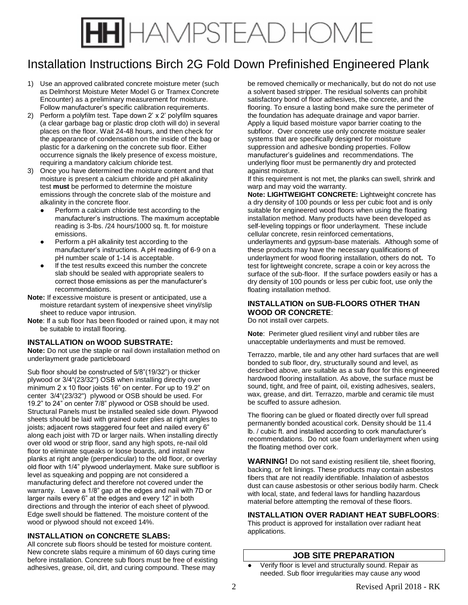# HH HAMPSTEAD HOME

# Installation Instructions Birch 2G Fold Down Prefinished Engineered Plank

- 1) Use an approved calibrated concrete moisture meter (such as Delmhorst Moisture Meter Model G or Tramex Concrete Encounter) as a preliminary measurement for moisture. Follow manufacturer's specific calibration requirements.
- 2) Perform a polyfilm test. Tape down 2' x 2' polyfilm squares (a clear garbage bag or plastic drop cloth will do) in several places on the floor. Wait 24-48 hours, and then check for the appearance of condensation on the inside of the bag or plastic for a darkening on the concrete sub floor. Either occurrence signals the likely presence of excess moisture, requiring a mandatory calcium chloride test.
- 3) Once you have determined the moisture content and that moisture is present a calcium chloride and pH alkalinity test **must** be performed to determine the moisture emissions through the concrete slab of the moisture and alkalinity in the concrete floor.
	- Perform a calcium chloride test according to the manufacturer's instructions. The maximum acceptable reading is 3-lbs. /24 hours/1000 sq. ft. for moisture emissions.
	- Perform a pH alkalinity test according to the manufacturer's instructions. A pH reading of 6-9 on a pH number scale of 1-14 is acceptable.
	- If the test results exceed this number the concrete slab should be sealed with appropriate sealers to correct those emissions as per the manufacturer's recommendations.
- **Note:** If excessive moisture is present or anticipated, use a moisture retardant system of inexpensive sheet vinyl/slip sheet to reduce vapor intrusion.
- **Note**: If a sub floor has been flooded or rained upon, it may not be suitable to install flooring.

### **INSTALLATION on WOOD SUBSTRATE:**

**Note:** Do not use the staple or nail down installation method on underlayment grade particleboard

Sub floor should be constructed of 5/8"(19/32") or thicker plywood or 3/4"(23/32") OSB when installing directly over minimum 2 x 10 floor joists 16" on center. For up to 19.2" on center 3/4"(23/32") plywood or OSB should be used. For 19.2" to 24" on center 7/8" plywood or OSB should be used. Structural Panels must be installed sealed side down. Plywood sheets should be laid with grained outer plies at right angles to joists; adjacent rows staggered four feet and nailed every 6" along each joist with 7D or larger nails. When installing directly over old wood or strip floor, sand any high spots, re-nail old floor to eliminate squeaks or loose boards, and install new planks at right angle (perpendicular) to the old floor, or overlay old floor with 1/4" plywood underlayment. Make sure subfloor is level as squeaking and popping are not considered a manufacturing defect and therefore not covered under the warranty. Leave a 1/8" gap at the edges and nail with 7D or larger nails every 6" at the edges and every 12" in both directions and through the interior of each sheet of plywood. Edge swell should be flattened. The moisture content of the wood or plywood should not exceed 14%.

## **INSTALLATION on CONCRETE SLABS:**

All concrete sub floors should be tested for moisture content. New concrete slabs require a minimum of 60 days curing time before installation. Concrete sub floors must be free of existing adhesives, grease, oil, dirt, and curing compound. These may

be removed chemically or mechanically, but do not do not use a solvent based stripper. The residual solvents can prohibit satisfactory bond of floor adhesives, the concrete, and the flooring. To ensure a lasting bond make sure the perimeter of the foundation has adequate drainage and vapor barrier. Apply a liquid based moisture vapor barrier coating to the subfloor. Over concrete use only concrete moisture sealer systems that are specifically designed for moisture suppression and adhesive bonding properties. Follow manufacturer's guidelines and recommendations. The underlying floor must be permanently dry and protected against moisture.

If this requirement is not met, the planks can swell, shrink and warp and may void the warranty.

**Note: LIGHTWEIGHT CONCRETE:** Lightweight concrete has a dry density of 100 pounds or less per cubic foot and is only suitable for engineered wood floors when using the floating installation method. Many products have been developed as self-leveling toppings or floor underlayment. These include cellular concrete, resin reinforced cementations, underlayments and gypsum-base materials. Although some of these products may have the necessary qualifications of underlayment for wood flooring installation, others do not. To test for lightweight concrete, scrape a coin or key across the surface of the sub-floor. If the surface powders easily or has a dry density of 100 pounds or less per cubic foot, use only the floating installation method.

## **INSTALLATION on SUB-FLOORS OTHER THAN WOOD OR CONCRETE**:

Do not install over carpets.

**Note**: Perimeter glued resilient vinyl and rubber tiles are unacceptable underlayments and must be removed.

Terrazzo, marble, tile and any other hard surfaces that are well bonded to sub floor, dry, structurally sound and level, as described above, are suitable as a sub floor for this engineered hardwood flooring installation. As above, the surface must be sound, tight, and free of paint, oil, existing adhesives, sealers, wax, grease, and dirt. Terrazzo, marble and ceramic tile must be scuffed to assure adhesion.

The flooring can be glued or floated directly over full spread permanently bonded acoustical cork. Density should be 11.4 lb. / cubic ft. and installed according to cork manufacturer's recommendations. Do not use foam underlayment when using the floating method over cork.

**WARNING!** Do not sand existing resilient tile, sheet flooring, backing, or felt linings. These products may contain asbestos fibers that are not readily identifiable. Inhalation of asbestos dust can cause asbestosis or other serious bodily harm. Check with local, state, and federal laws for handling hazardous material before attempting the removal of these floors.

## **INSTALLATION OVER RADIANT HEAT SUBFLOORS**:

This product is approved for installation over radiant heat applications.

## **JOB SITE PREPARATION**

Verify floor is level and structurally sound. Repair as needed. Sub floor irregularities may cause any wood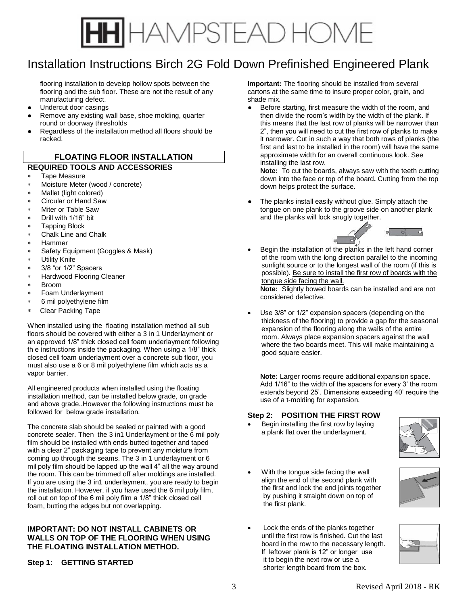

## Installation Instructions Birch 2G Fold Down Prefinished Engineered Plank

flooring installation to develop hollow spots between the flooring and the sub floor. These are not the result of any manufacturing defect.

- Undercut door casings
- Remove any existing wall base, shoe molding, quarter round or doorway thresholds
- Regardless of the installation method all floors should be racked.

## **FLOATING FLOOR INSTALLATION**

### **REQUIRED TOOLS AND ACCESSORIES**

- Tape Measure
- Moisture Meter (wood / concrete)
- Mallet (light colored)
- Circular or Hand Saw
- Miter or Table Saw
- Drill with 1/16" bit
- Tapping Block
- Chalk Line and Chalk
- Hammer
- Safety Equipment (Goggles & Mask)
- Utility Knife
- 3/8 "or 1/2" Spacers
- Hardwood Flooring Cleaner
- Broom
- Foam Underlayment
- 6 mil polyethylene film
- Clear Packing Tape

When installed using the floating installation method all sub floors should be covered with either a 3 in 1 Underlayment or an approved 1/8" thick closed cell foam underlayment following th e instructions inside the packaging. When using a 1/8" thick closed cell foam underlayment over a concrete sub floor, you must also use a 6 or 8 mil polyethylene film which acts as a vapor barrier.

All engineered products when installed using the floating installation method, can be installed below grade, on grade and above grade..However the following instructions must be followed for below grade installation.

The concrete slab should be sealed or painted with a good concrete sealer. Then the 3 in1 Underlayment or the 6 mil poly film should be installed with ends butted together and taped with a clear 2" packaging tape to prevent any moisture from coming up through the seams. The 3 in 1 underlayment or 6 mil poly film should be lapped up the wall 4" all the way around the room. This can be trimmed off after moldings are installed. If you are using the 3 in1 underlayment, you are ready to begin the installation. However, if you have used the 6 mil poly film, roll out on top of the 6 mil poly film a 1/8" thick closed cell foam, butting the edges but not overlapping.

## **IMPORTANT: DO NOT INSTALL CABINETS OR WALLS ON TOP OF THE FLOORING WHEN USING THE FLOATING INSTALLATION METHOD.**

## **Step 1: GETTING STARTED**

**Important:** The flooring should be installed from several cartons at the same time to insure proper color, grain, and shade mix.

Before starting, first measure the width of the room, and then divide the room's width by the width of the plank. If this means that the last row of planks will be narrower than 2", then you will need to cut the first row of planks to make it narrower. Cut in such a way that both rows of planks (the first and last to be installed in the room) will have the same approximate width for an overall continuous look. See installing the last row.

**Note:** To cut the boards, always saw with the teeth cutting down into the face or top of the board**.** Cutting from the top down helps protect the surface.

- The planks install easily without glue. Simply attach the tongue on one plank to the groove side on another plank and the planks will lock snugly together.
- Begin the installation of the planks in the left hand corner of the room with the long direction parallel to the incoming sunlight source or to the longest wall of the room (if this is possible). Be sure to install the first row of boards with the tongue side facing the wall.

**Note:** Slightly bowed boards can be installed and are not considered defective.

Use 3/8" or 1/2" expansion spacers (depending on the thickness of the flooring) to provide a gap for the seasonal expansion of the flooring along the walls of the entire room. Always place expansion spacers against the wall where the two boards meet. This will make maintaining a good square easier.

**Note:** Larger rooms require additional expansion space. Add 1/16" to the width of the spacers for every 3' the room extends beyond 25'. Dimensions exceeding 40' require the use of a t-molding for expansion.

## **Step 2: POSITION THE FIRST ROW**

• Begin installing the first row by laying a plank flat over the underlayment.



- With the tongue side facing the wall align the end of the second plank with the first and lock the end joints together by pushing it straight down on top of the first plank.
- Lock the ends of the planks together until the first row is finished. Cut the last board in the row to the necessary length. If leftover plank is 12" or longer use it to begin the next row or use a shorter length board from the box.

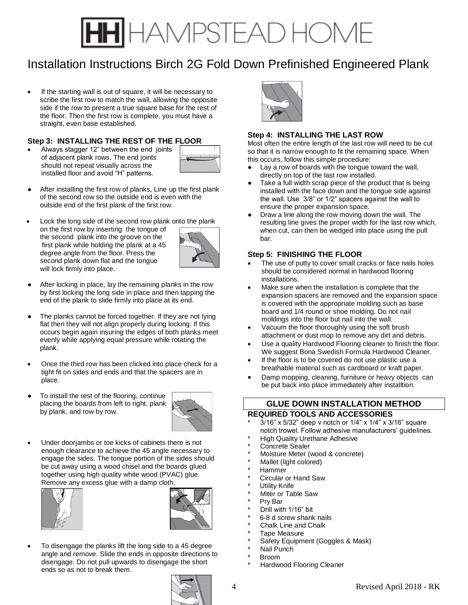# IAMPSTEAD HOME

# Installation Instructions Birch 2G Fold Down Prefinished Engineered Plank

• If the starting wall is out of square, it will be necessary to scribe the first row to match the wall, allowing the opposite side if the row to present a true square base for the rest of the floor. Then the first row is complete, you must have a straight, even base established.

## **Step 3: INSTALLING THE REST OF THE FLOOR**

• Always stagger 12" between the end joints of adjacent plank rows. The end joints should not repeat visually across the installed floor and avoid "H" patterns.



- After installing the first row of planks, Line up the first plank of the second row so the outside end is even with the outside end of the first plank of the first row.
- Lock the long side of the second row plank onto the plank on the first row by inserting the tongue of the second plank into the groove on the first plank while holding the plank at a 45 degree angle from the floor. Press the second plank down flat and the tongue will lock firmly into place.



- After locking in place, lay the remaining planks in the row by first locking the long side in place and then tapping the end of the plank to slide firmly into place at its end.
- The planks cannot be forced together. If they are not lying flat then they will not align properly during locking. If this occurs begin again insuring the edges of both planks meet evenly while applying equal pressure while rotating the plank.
- Once the third row has been clicked into place check for a tight fit on sides and ends and that the spacers are in place.
- To install the rest of the flooring, continue placing the boards from left to right, plank by plank, and row by row.



Under doorjambs or toe kicks of cabinets there is not enough clearance to achieve the 45 angle necessary to engage the sides. The tongue portion of the sides should be cut away using a wood chisel and the boards glued together using high quality white wood (PVAC) glue. Remove any excess glue with a damp cloth.





• To disengage the planks lift the long side to a 45 degree angle and remove. Slide the ends in opposite directions to disengage. Do not pull upwards to disengage the short ends so as not to break them.



## **Step 4: INSTALLING THE LAST ROW**

Most often the entire length of the last row will need to be cut so that it is narrow enough to fit the remaining space. When this occurs, follow this simple procedure:

- Lay a row of boards with the tongue toward the wall, directly on top of the last row installed.
- Take a full width scrap piece of the product that is being installed with the face down and the tongue side against the wall. Use 3/8" or 1/2" spacers against the wall to ensure the proper expansion space.
- Draw a line along the row moving down the wall. The resulting line gives the proper width for the last row which, when cut, can then be wedged into place using the pull bar.

## **Step 5: FINISHING THE FLOOR**

- The use of putty to cover small cracks or face nails holes should be considered normal in hardwood flooring installations.
- Make sure when the installation is complete that the expansion spacers are removed and the expansion space is covered with the appropriate molding such as base board and 1/4 round or shoe molding. Do not nail moldings into the floor but nail into the wall.
- Vacuum the floor thoroughly using the soft brush attachment or dust mop to remove any dirt and debris.
- Use a quality Hardwood Flooring cleaner to finish the floor. We suggest Bona Swedish Formula Hardwood Cleaner.
- If the floor is to be covered do not use plastic use a breathable material such as cardboard or kraft paper.
- Damp mopping, cleaning, furniture or heavy objects can be put back into place immediately after installtion.

## **GLUE DOWN INSTALLATION METHOD REQUIRED TOOLS AND ACCESSORIES**

- $3/16$ " x  $5/32$ " deep v notch or  $1/4$ " x  $1/4$ " x  $3/16$ " square notch trowel. Follow adhesive manufacturers' guidelines.
- **High Quality Urethane Adhesive**
- Concrete Sealer
- Moisture Meter (wood & concrete)
- Mallet (light colored)
- **Hammer**
- Circular or Hand Saw
- Utility Knife
- Miter or Table Saw
- Prv Bar
- Drill with 1/16" bit
- 6-8 d screw shank nails
- Chalk Line and Chalk
- Tape Measure
- Safety Equipment (Goggles & Mask)
- Nail Punch
- **Broom**
- Hardwood Flooring Cleaner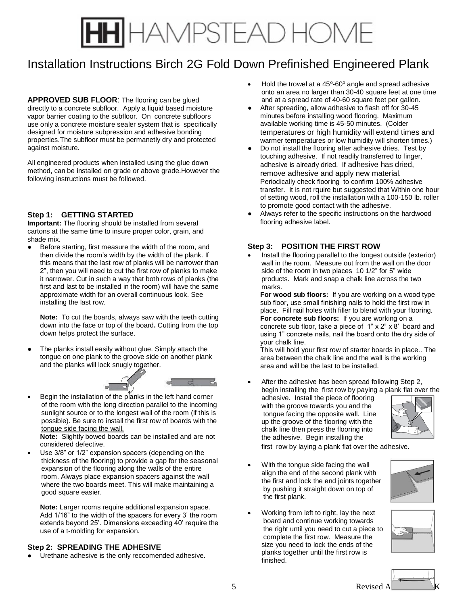# IAMPSTEAD HOME

# Installation Instructions Birch 2G Fold Down Prefinished Engineered Plank

**APPROVED SUB FLOOR**: The flooring can be glued directly to a concrete subfloor. Apply a liquid based moisture vapor barrier coating to the subfloor. On concrete subfloors use only a concrete moisture sealer system that is specifically designed for moisture subpression and adhesive bonding properties.The subfloor must be permanetly dry and protected against moisture.

All engineered products when installed using the glue down method, can be installed on grade or above grade.However the following instructions must be followed.

## **Step 1: GETTING STARTED**

**Important:** The flooring should be installed from several cartons at the same time to insure proper color, grain, and shade mix.

Before starting, first measure the width of the room, and then divide the room's width by the width of the plank. If this means that the last row of planks will be narrower than 2", then you will need to cut the first row of planks to make it narrower. Cut in such a way that both rows of planks (the first and last to be installed in the room) will have the same approximate width for an overall continuous look. See installing the last row.

**Note:** To cut the boards, always saw with the teeth cutting down into the face or top of the board**.** Cutting from the top down helps protect the surface.

The planks install easily without glue. Simply attach the tongue on one plank to the groove side on another plank and the planks will lock snugly together.



• Begin the installation of the planks in the left hand corner of the room with the long direction parallel to the incoming sunlight source or to the longest wall of the room (if this is possible). Be sure to install the first row of boards with the tongue side facing the wall.

**Note:** Slightly bowed boards can be installed and are not considered defective.

Use 3/8" or 1/2" expansion spacers (depending on the thickness of the flooring) to provide a gap for the seasonal expansion of the flooring along the walls of the entire room. Always place expansion spacers against the wall where the two boards meet. This will make maintaining a good square easier.

**Note:** Larger rooms require additional expansion space. Add 1/16" to the width of the spacers for every 3' the room extends beyond 25'. Dimensions exceeding 40' require the use of a t-molding for expansion.

### **Step 2: SPREADING THE ADHESIVE**

Urethane adhesive is the only reccomended adhesive.

- $\bullet$  Hold the trowel at a 45°-60° angle and spread adhesive onto an area no larger than 30-40 square feet at one time and at a spread rate of 40-60 square feet per gallon.
- After spreading, allow adhesive to flash off for 30-45 minutes before installing wood flooring. Maximum available working time is 45-50 minutes. (Colder temperatures or high humidity will extend times and warmer temperatures or low humidity will shorten times.)
- Do not install the flooring after adhesive dries. Test by touching adhesive. If not readily transferred to finger, adhesive is already dried. If adhesive has dried, remove adhesive and apply new material. Periodically check flooring to confirm 100% adhesive transfer. It is not rquire but suggested that Within one hour of setting wood, roll the installation with a 100-150 lb. roller to promote good contact with the adhesive.
- **●** Always refer to the specific instructions on the hardwood flooring adhesive label.

## **Step 3: POSITION THE FIRST ROW**

• Install the flooring parallel to the longest outside (exterior) wall in the room. Measure out from the wall on the door side of the room in two places 10 1/2" for 5" wide products. Mark and snap a chalk line across the two marks.

**For wood sub floors:** If you are working on a wood type sub floor, use small finishing nails to hold the first row in place. Fill nail holes with filler to blend with your flooring. **For concrete sub floors:** If you are working on a concrete sub floor, take a piece of 1" x 2" x 8' board and using 1" concrete nails, nail the board onto the dry side of your chalk line.

This will hold your first row of starter boards in place.. The area between the chalk line and the wall is the working area a**n**d will be the last to be installed.

After the adhesive has been spread following Step 2, begin installing the first row by paying a plank flat over the adhesive. Install the piece of flooring with the groove towards you and the tongue facing the opposite wall. Line up the groove of the flooring with the chalk line then press the flooring into the adhesive. Begin installing the

first row by laying a plank flat over the adhesive.

With the tongue side facing the wall align the end of the second plank with the first and lock the end joints together by pushing it straight down on top of the first plank.



• Working from left to right, lay the next board and continue working towards the right until you need to cut a piece to complete the first row. Measure the size you need to lock the ends of the planks together until the first row is finished.



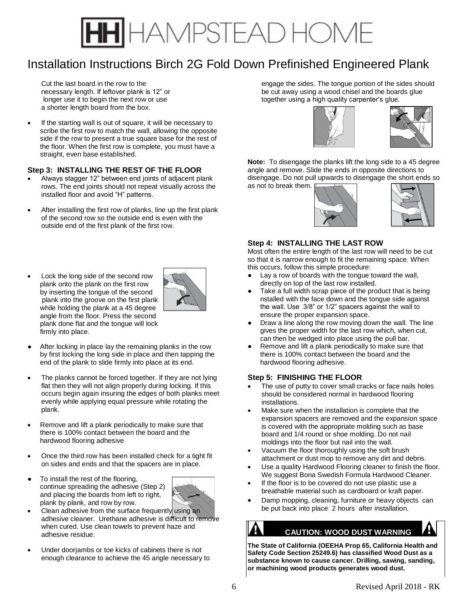# IAMPSTEAD HOME

# Installation Instructions Birch 2G Fold Down Prefinished Engineered Plank

Cut the last board in the row to the necessary length. If leftover plank is 12" or longer use it to begin the next row or use a shorter length board from the box.

If the starting wall is out of square, it will be necessary to scribe the first row to match the wall, allowing the opposite side if the row to present a true square base for the rest of the floor. When the first row is complete, you must have a straight, even base established.

### **Step 3: INSTALLING THE REST OF THE FLOOR**

- Always stagger 12" between end joints of adjacent plank rows. The end joints should not repeat visually across the installed floor and avoid "H" patterns.
- After installing the first row of planks, line up the first plank of the second row so the outside end is even with the outside end of the first plank of the first row.
- Lock the long side of the second row plank onto the plank on the first row by inserting the tongue of the second plank into the groove on the first plank while holding the plank at a 45 degree angle from the floor. Press the second plank done flat and the tongue will lock firmly into place.



- After locking in place lay the remaining planks in the row by first locking the long side in place and then tapping the end of the plank to slide firmly into place at its end.
- The planks cannot be forced together. If they are not lying flat then they will not align properly during locking. If this occurs begin again insuring the edges of both planks meet evenly while applying equal pressure while rotating the plank.
- Remove and lift a plank periodically to make sure that there is 100% contact between the board and the hardwood flooring adhesive
- Once the third row has been installed check for a tight fit on sides and ends and that the spacers are in place.
- To install the rest of the flooring, continue spreading the adhesive (Step 2) and placing the boards from left to right, plank by plank, and row by row.



- Clean adhesive from the surface frequently using an adhesive cleaner. Urethane adhesive is difficult to remove when cured. Use clean towels to prevent haze and adhesive residue.
- Under doorjambs or toe kicks of cabinets there is not enough clearance to achieve the 45 angle necessary to

engage the sides. The tongue portion of the sides should be cut away using a wood chisel and the boards glue together using a high quality carpenter's glue.





**Note:** To disengage the planks lift the long side to a 45 degree angle and remove. Slide the ends in opposite directions to disengage. Do not pull upwards to disengage the short ends so as not to break them.





### **Step 4: INSTALLING THE LAST ROW**

Most often the entire length of the last row will need to be cut so that it is narrow enough to fit the remaining space. When this occurs, follow this simple procedure:

- Lay a row of boards with the tongue toward the wall, directly on top of the last row installed.
- Take a full width scrap piece of the product that is being nstalled with the face down and the tongue side against the wall. Use 3/8" or 1/2" spacers against the wall to ensure the proper expansion space.
- Draw a line along the row moving down the wall. The line gives the proper width for the last row which, when cut, can then be wedged into place using the pull bar.
- Remove and lift a plank periodically to make sure that there is 100% contact between the board and the hardwood flooring adhesive.

### **Step 5: FINISHING THE FLOOR**

- The use of putty to cover small cracks or face nails holes should be considered normal in hardwood flooring installations.
- Make sure when the installation is complete that the expansion spacers are removed and the expansion space is covered with the appropriate molding such as base board and 1/4 round or shoe molding. Do not nail moldings into the floor but nail into the wall.
- Vacuum the floor thoroughly using the soft brush attachment or dust mop to remove any dirt and debris.
- Use a quality Hardwood Flooring cleaner to finish the floor. We suggest Bona Swedish Formula Hardwood Cleaner.
- If the floor is to be covered do not use plastic use a breathable material such as cardboard or kraft paper.
- Damp mopping, cleaning, furniture or heavy objects can be put back into place 2 hours after installation.

# **C CAUTION: WOOD DUST WARNING**

**The State of California (OEEHA Prop 65, California Health and Safety Code Section 25249.6) has classified Wood Dust as a substance known to cause cancer. Drilling, sawing, sanding, or machining wood products generates wood dust.**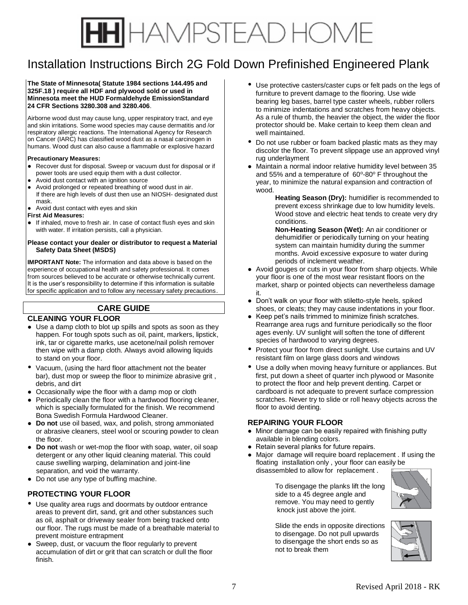# HAMPSTEAD HOME

# Installation Instructions Birch 2G Fold Down Prefinished Engineered Plank

#### **The State of Minnesota( Statute 1984 sections 144.495 and 325F.18 ) require all HDF and plywood sold or used in Minnesota meet the HUD Formaldehyde EmissionStandard 24 CFR Sections 3280.308 and 3280.406**.

Airborne wood dust may cause lung, upper respiratory tract, and eye and skin irritations. Some wood species may cause dermatitis and /or respiratory allergic reactions. The International Agency for Research on Cancer (IARC) has classified wood dust as a nasal carcinogen in humans. Wood dust can also cause a flammable or explosive hazard

#### **Precautionary Measures:**

- Recover dust for disposal. Sweep or vacuum dust for disposal or if power tools are used equip them with a dust collector.
- Avoid dust contact with an ignition source
- Avoid prolonged or repeated breathing of wood dust in air. If there are high levels of dust then use an NIOSH- designated dust mask.
- Avoid dust contact with eyes and skin
- **First Aid Measures:**
- If inhaled, move to fresh air. In case of contact flush eyes and skin with water. If irritation persists, call a physician.

#### **Please contact your dealer or distributor to request a Material Safety Data Sheet (MSDS)**

**IMPORTANT Note:** The information and data above is based on the experience of occupational health and safety professional. It comes from sources believed to be accurate or otherwise technically current. It is the user's responsibility to determine if this information is suitable for specific application and to follow any necessary safety precautions.

## **CARE GUIDE**

### **CLEANING YOUR FLOOR**

- Use a damp cloth to blot up spills and spots as soon as they happen. For tough spots such as oil, paint, markers, lipstick, ink, tar or cigarette marks, use acetone/nail polish remover then wipe with a damp cloth. Always avoid allowing liquids to stand on your floor.
- Vacuum, (using the hard floor attachment not the beater bar), dust mop or sweep the floor to minimize abrasive grit , debris, and dirt
- Occasionally wipe the floor with a damp mop or cloth
- Periodically clean the floor with a hardwood flooring cleaner, which is specially formulated for the finish. We recommend Bona Swedish Formula Hardwood Cleaner.
- **● Do not** use oil based, wax, and polish, strong ammoniated or abrasive cleaners, steel wool or scouring powder to clean the floor.
- **Do not** wash or wet-mop the floor with soap, water, oil soap detergent or any other liquid cleaning material. This could cause swelling warping, delamination and joint-line separation, and void the warranty.
- Do not use any type of buffing machine.

## **PROTECTING YOUR FLOOR**

- Use quality area rugs and doormats by outdoor entrance areas to prevent dirt, sand, grit and other substances such as oil, asphalt or driveway sealer from being tracked onto our floor. The rugs must be made of a breathable material to prevent moisture entrapment
- Sweep, dust, or vacuum the floor regularly to prevent accumulation of dirt or grit that can scratch or dull the floor finish.
- Use protective casters/caster cups or felt pads on the legs of furniture to prevent damage to the flooring. Use wide bearing leg bases, barrel type caster wheels, rubber rollers to minimize indentations and scratches from heavy objects. As a rule of thumb, the heavier the object, the wider the floor protector should be. Make certain to keep them clean and well maintained.
- Do not use rubber or foam backed plastic mats as they may discolor the floor. To prevent slippage use an approved vinyl rug underlayment
- Maintain a normal indoor relative humidity level between 35 and 55% and a temperature of  $60^{\circ}$ -80 $^{\circ}$  F throughout the year, to minimize the natural expansion and contraction of wood.

**Heating Season (Dry):** humidifier is recommended to prevent excess shrinkage due to low humidity levels. Wood stove and electric heat tends to create very dry conditions.

**Non-Heating Season (Wet):** An air conditioner or dehumidifier or periodically turning on your heating system can maintain humidity during the summer months. Avoid excessive exposure to water during periods of inclement weather.

- Avoid gouges or cuts in your floor from sharp objects. While your floor is one of the most wear resistant floors on the market, sharp or pointed objects can nevertheless damage it.
- Don't walk on your floor with stiletto-style heels, spiked shoes, or cleats; they may cause indentations in your floor.
- Keep pet's nails trimmed to minimize finish scratches. Rearrange area rugs and furniture periodically so the floor ages evenly. UV sunlight will soften the tone of different species of hardwood to varying degrees.
- Protect your floor from direct sunlight. Use curtains and UV resistant film on large glass doors and windows
- Use a dolly when moving heavy furniture or appliances. But first, put down a sheet of quarter inch plywood or Masonite to protect the floor and help prevent denting. Carpet or cardboard is not adequate to prevent surface compression scratches. Never try to slide or roll heavy objects across the floor to avoid denting.

## **REPAIRING YOUR FLOOR**

- Minor damage can be easily repaired with finishing putty available in blending colors.
- Retain several planks for future repairs.
- Major damage will require board replacement . If using the floating installation only , your floor can easily be disassembled to allow for replacement .

 To disengage the planks lift the long side to a 45 degree angle and remove. You may need to gently knock just above the joint.



Slide the ends in opposite directions to disengage. Do not pull upwards to disengage the short ends so as not to break them